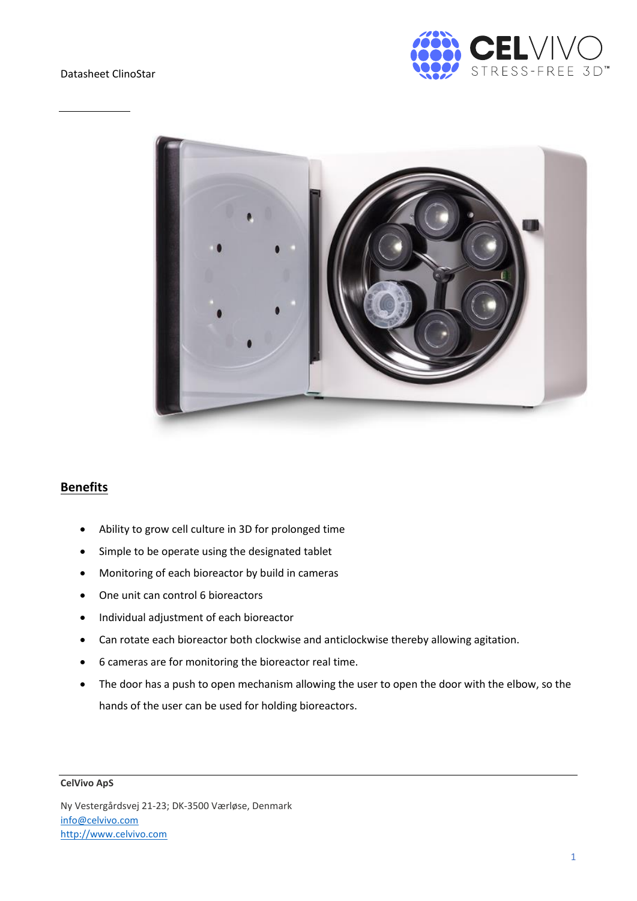Datasheet ClinoStar





## **Benefits**

- Ability to grow cell culture in 3D for prolonged time
- Simple to be operate using the designated tablet
- Monitoring of each bioreactor by build in cameras
- One unit can control 6 bioreactors
- Individual adjustment of each bioreactor
- Can rotate each bioreactor both clockwise and anticlockwise thereby allowing agitation.
- 6 cameras are for monitoring the bioreactor real time.
- The door has a push to open mechanism allowing the user to open the door with the elbow, so the hands of the user can be used for holding bioreactors.

## **CelVivo ApS**

Ny Vestergårdsvej 21-23; DK-3500 Værløse, Denmark [info@celvivo.com](mailto:info@celvivo.com) [http://www.celvivo.com](http://www.celvivo.com/)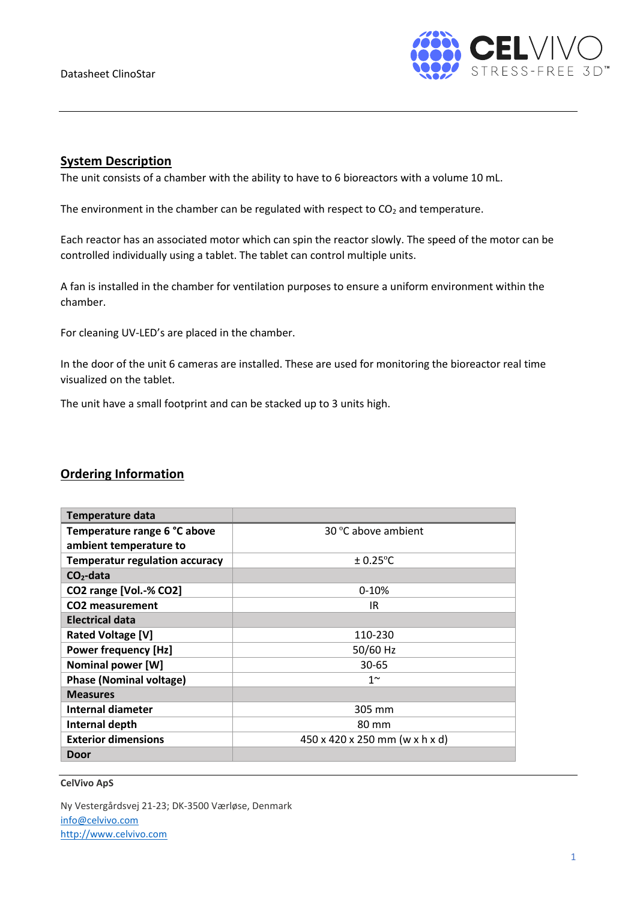

## **System Description**

The unit consists of a chamber with the ability to have to 6 bioreactors with a volume 10 mL.

The environment in the chamber can be regulated with respect to  $CO<sub>2</sub>$  and temperature.

Each reactor has an associated motor which can spin the reactor slowly. The speed of the motor can be controlled individually using a tablet. The tablet can control multiple units.

A fan is installed in the chamber for ventilation purposes to ensure a uniform environment within the chamber.

For cleaning UV-LED's are placed in the chamber.

In the door of the unit 6 cameras are installed. These are used for monitoring the bioreactor real time visualized on the tablet.

The unit have a small footprint and can be stacked up to 3 units high.

## **Ordering Information**

| <b>Temperature data</b>               |                                |
|---------------------------------------|--------------------------------|
| Temperature range 6 °C above          | 30 °C above ambient            |
| ambient temperature to                |                                |
| <b>Temperatur regulation accuracy</b> | $\pm$ 0.25°C                   |
| $CO2$ -data                           |                                |
| CO2 range [Vol.-% CO2]                | $0-10%$                        |
| CO <sub>2</sub> measurement           | IR                             |
| <b>Electrical data</b>                |                                |
| <b>Rated Voltage [V]</b>              | 110-230                        |
| <b>Power frequency [Hz]</b>           | 50/60 Hz                       |
| <b>Nominal power [W]</b>              | $30 - 65$                      |
| <b>Phase (Nominal voltage)</b>        | $1^{\sim}$                     |
| <b>Measures</b>                       |                                |
| Internal diameter                     | 305 mm                         |
| Internal depth                        | 80 mm                          |
| <b>Exterior dimensions</b>            | 450 x 420 x 250 mm (w x h x d) |
| Door                                  |                                |

**CelVivo ApS**

Ny Vestergårdsvej 21-23; DK-3500 Værløse, Denmark [info@celvivo.com](mailto:info@celvivo.com) [http://www.celvivo.com](http://www.celvivo.com/)